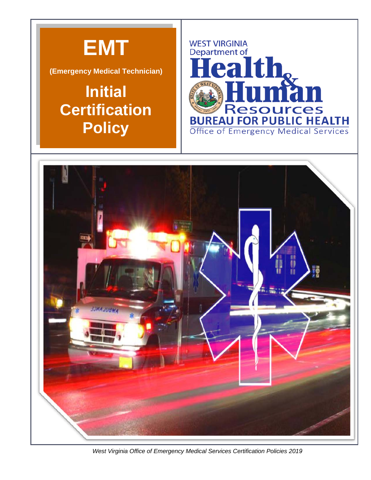

**(Emergency Medical Technician)** 

## **Initial Certification Policy**





*West Virginia Office of Emergency Medical Services Certification Policies 2019*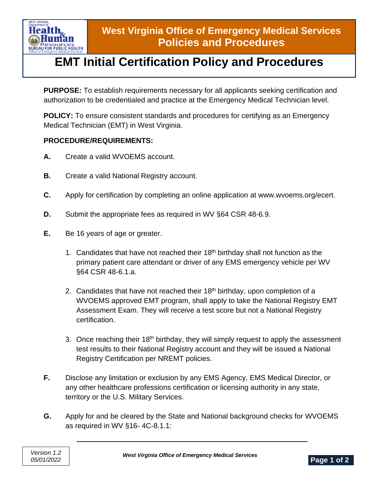

## **EMT Initial Certification Policy and Procedures**

**PURPOSE:** To establish requirements necessary for all applicants seeking certification and authorization to be credentialed and practice at the Emergency Medical Technician level.

**POLICY:** To ensure consistent standards and procedures for certifying as an Emergency Medical Technician (EMT) in West Virginia.

## **PROCEDURE/REQUIREMENTS:**

- **A.** Create a valid WVOEMS account.
- **B.** Create a valid National Registry account.
- **C.** Apply for certification by completing an online application at www.wvoems.org/ecert.
- **D.** Submit the appropriate fees as required in WV §64 CSR 48-6.9.
- **E.** Be 16 years of age or greater.
	- 1. Candidates that have not reached their  $18<sup>th</sup>$  birthday shall not function as the primary patient care attendant or driver of any EMS emergency vehicle per WV §64 CSR 48-6.1.a.
	- 2. Candidates that have not reached their  $18<sup>th</sup>$  birthday, upon completion of a WVOEMS approved EMT program, shall apply to take the National Registry EMT Assessment Exam. They will receive a test score but not a National Registry certification.
	- 3. Once reaching their  $18<sup>th</sup>$  birthday, they will simply request to apply the assessment test results to their National Registry account and they will be issued a National Registry Certification per NREMT policies.
- **F.** Disclose any limitation or exclusion by any EMS Agency, EMS Medical Director, or any other healthcare professions certification or licensing authority in any state, territory or the U.S. Military Services.
- **G.** Apply for and be cleared by the State and National background checks for WVOEMS as required in WV §16- 4C-8.1.1: